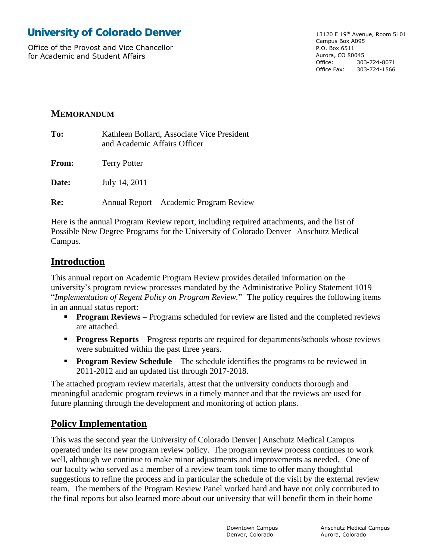# **University of Colorado Denver**

Office of the Provost and Vice Chancellor for Academic and Student Affairs

13120 E 19th Avenue, Room 5101 Campus Box A095 P.O. Box 6511 Aurora, CO 80045 Office: 303-724-8071 Office Fax: 303-724-1566

## **MEMORANDUM**

| To:   | Kathleen Bollard, Associate Vice President<br>and Academic Affairs Officer |
|-------|----------------------------------------------------------------------------|
| From: | <b>Terry Potter</b>                                                        |
| Date: | July 14, 2011                                                              |
| Re:   | Annual Report – Academic Program Review                                    |

Here is the annual Program Review report, including required attachments, and the list of Possible New Degree Programs for the University of Colorado Denver | Anschutz Medical Campus.

## **Introduction**

This annual report on Academic Program Review provides detailed information on the university's program review processes mandated by the Administrative Policy Statement 1019 "*Implementation of Regent Policy on Program Review.*"The policy requires the following items in an annual status report:

- **Program Reviews** Programs scheduled for review are listed and the completed reviews are attached.
- **Progress Reports** Progress reports are required for departments/schools whose reviews were submitted within the past three years.
- **Program Review Schedule** The schedule identifies the programs to be reviewed in 2011-2012 and an updated list through 2017-2018.

The attached program review materials, attest that the university conducts thorough and meaningful academic program reviews in a timely manner and that the reviews are used for future planning through the development and monitoring of action plans.

## **Policy Implementation**

This was the second year the University of Colorado Denver | Anschutz Medical Campus operated under its new program review policy. The program review process continues to work well, although we continue to make minor adjustments and improvements as needed. One of our faculty who served as a member of a review team took time to offer many thoughtful suggestions to refine the process and in particular the schedule of the visit by the external review team. The members of the Program Review Panel worked hard and have not only contributed to the final reports but also learned more about our university that will benefit them in their home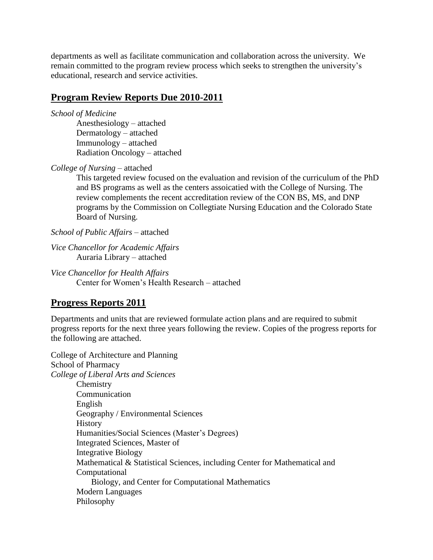departments as well as facilitate communication and collaboration across the university. We remain committed to the program review process which seeks to strengthen the university's educational, research and service activities.

### **Program Review Reports Due 2010-2011**

*School of Medicine*

Anesthesiology – attached Dermatology – attached Immunology – attached Radiation Oncology – attached

*College of Nursing* – attached

This targeted review focused on the evaluation and revision of the curriculum of the PhD and BS programs as well as the centers assoicatied with the College of Nursing. The review complements the recent accreditation review of the CON BS, MS, and DNP programs by the Commission on Collegtiate Nursing Education and the Colorado State Board of Nursing.

*School of Public Affairs –* attached

*Vice Chancellor for Academic Affairs* Auraria Library – attached

*Vice Chancellor for Health Affairs* Center for Women's Health Research – attached

### **Progress Reports 2011**

Departments and units that are reviewed formulate action plans and are required to submit progress reports for the next three years following the review. Copies of the progress reports for the following are attached.

College of Architecture and Planning School of Pharmacy *College of Liberal Arts and Sciences* **Chemistry** Communication English Geography / Environmental Sciences **History** Humanities/Social Sciences (Master's Degrees) Integrated Sciences, Master of Integrative Biology Mathematical & Statistical Sciences, including Center for Mathematical and Computational Biology, and Center for Computational Mathematics Modern Languages Philosophy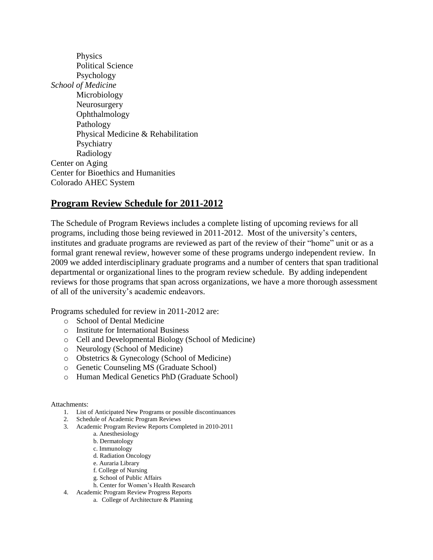Physics Political Science Psychology *School of Medicine* Microbiology Neurosurgery Ophthalmology Pathology Physical Medicine & Rehabilitation Psychiatry Radiology Center on Aging Center for Bioethics and Humanities Colorado AHEC System

## **Program Review Schedule for 2011-2012**

The Schedule of Program Reviews includes a complete listing of upcoming reviews for all programs, including those being reviewed in 2011-2012. Most of the university's centers, institutes and graduate programs are reviewed as part of the review of their "home" unit or as a formal grant renewal review, however some of these programs undergo independent review. In 2009 we added interdisciplinary graduate programs and a number of centers that span traditional departmental or organizational lines to the program review schedule. By adding independent reviews for those programs that span across organizations, we have a more thorough assessment of all of the university's academic endeavors.

Programs scheduled for review in 2011-2012 are:

- o School of Dental Medicine
- o Institute for International Business
- o Cell and Developmental Biology (School of Medicine)
- o Neurology (School of Medicine)
- o Obstetrics & Gynecology (School of Medicine)
- o Genetic Counseling MS (Graduate School)
- o Human Medical Genetics PhD (Graduate School)

#### Attachments:

- 1. List of Anticipated New Programs or possible discontinuances
- 2. Schedule of Academic Program Reviews
- 3. Academic Program Review Reports Completed in 2010-2011
	- a. Anesthesiology
	- b. Dermatology
	- c. Immunology
	- d. Radiation Oncology
	- e. Auraria Library
	- f. College of Nursing
	- g. School of Public Affairs
	- h. Center for Women's Health Research
- 4. Academic Program Review Progress Reports
	- a. College of Architecture & Planning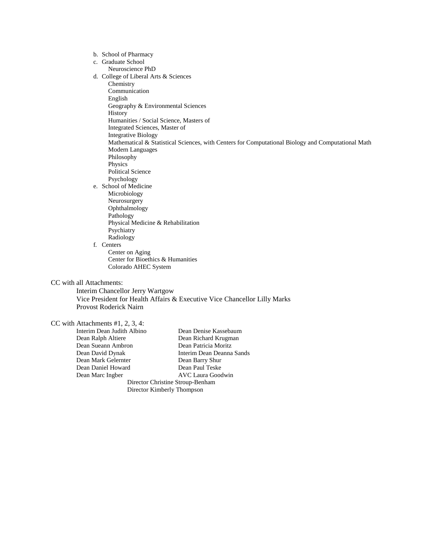b. School of Pharmacy c. Graduate School Neuroscience PhD d. College of Liberal Arts & Sciences Chemistry Communication English Geography & Environmental Sciences **History** Humanities / Social Science, Masters of Integrated Sciences, Master of Integrative Biology Mathematical & Statistical Sciences, with Centers for Computational Biology and Computational Math Modern Languages Philosophy Physics Political Science Psychology e. School of Medicine Microbiology Neurosurgery Ophthalmology Pathology Physical Medicine & Rehabilitation Psychiatry Radiology f. Centers Center on Aging Center for Bioethics & Humanities Colorado AHEC System Interim Chancellor Jerry Wartgow

CC with all Attachments:

Vice President for Health Affairs & Executive Vice Chancellor Lilly Marks Provost Roderick Nairn

# CC with Attachments #1, 2, 3, 4:<br>Interim Dean Judith Albino

|                                  | $\mu$ iui Auguilincius #1, 2, 9, 4. |                           |  |  |  |  |  |  |
|----------------------------------|-------------------------------------|---------------------------|--|--|--|--|--|--|
|                                  | Interim Dean Judith Albino          | Dean Denise Kassebaum     |  |  |  |  |  |  |
|                                  | Dean Ralph Altiere                  | Dean Richard Krugman      |  |  |  |  |  |  |
|                                  | Dean Sueann Ambron                  | Dean Patricia Moritz      |  |  |  |  |  |  |
|                                  | Dean David Dynak                    | Interim Dean Deanna Sands |  |  |  |  |  |  |
|                                  | Dean Mark Gelernter                 | Dean Barry Shur           |  |  |  |  |  |  |
|                                  | Dean Daniel Howard                  | Dean Paul Teske           |  |  |  |  |  |  |
|                                  | Dean Marc Ingber                    | <b>AVC Laura Goodwin</b>  |  |  |  |  |  |  |
| Director Christine Stroup-Benham |                                     |                           |  |  |  |  |  |  |
| Director Kimberly Thompson       |                                     |                           |  |  |  |  |  |  |
|                                  |                                     |                           |  |  |  |  |  |  |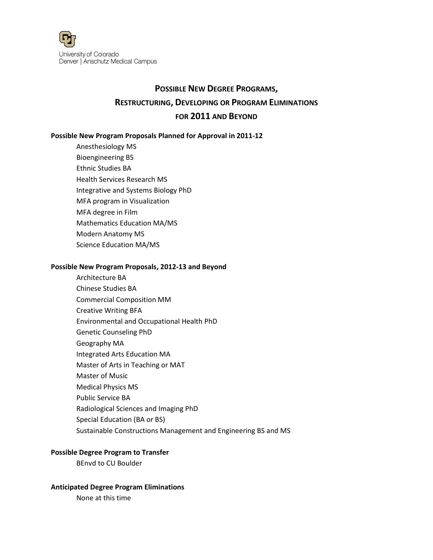

# **POSSIBLE NEW DEGREE PROGRAMS, RESTRUCTURING, DEVELOPING OR PROGRAM ELIMINATIONS FOR 2011 AND BEYOND**

### **Possible New Program Proposals Planned for Approval in 2011-12**

Anesthesiology MS Bioengineering BS Ethnic Studies BA Health Services Research MS Integrative and Systems Biology PhD MFA program in Visualization MFA degree in Film Mathematics Education MA/MS Modern Anatomy MS Science Education MA/MS

#### **Possible New Program Proposals, 2012-13 and Beyond**

Architecture BA Chinese Studies BA Commercial Composition MM Creative Writing BFA Environmental and Occupational Health PhD Genetic Counseling PhD Geography MA Integrated Arts Education MA Master of Arts in Teaching or MAT Master of Music Medical Physics MS Public Service BA Radiological Sciences and Imaging PhD Special Education (BA or BS) Sustainable Constructions Management and Engineering BS and MS

### **Possible Degree Program to Transfer**

BEnvd to CU Boulder

#### **Anticipated Degree Program Eliminations**

None at this time